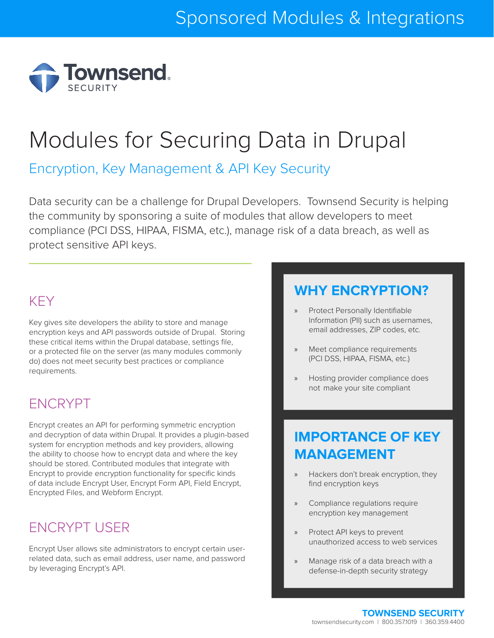

# Modules for Securing Data in Drupal

Encryption, Key Management & API Key Security

Data security can be a challenge for Drupal Developers. Townsend Security is helping the community by sponsoring a suite of modules that allow developers to meet compliance (PCI DSS, HIPAA, FISMA, etc.), manage risk of a data breach, as well as protect sensitive API keys.

#### [KEY](https://www.drupal.org/project/key)

Key gives site developers the ability to store and manage encryption keys and API passwords outside of Drupal. Storing these critical items within the Drupal database, settings file, or a protected file on the server (as many modules commonly do) does not meet security best practices or compliance requirements.

#### [ENCRYPT](https://www.drupal.org/project/encrypt)

Encrypt creates an API for performing symmetric encryption and decryption of data within Drupal. It provides a plugin-based system for encryption methods and key providers, allowing the ability to choose how to encrypt data and where the key should be stored. Contributed modules that integrate with Encrypt to provide encryption functionality for specific kinds of data include Encrypt User, Encrypt Form API, Field Encrypt, Encrypted Files, and Webform Encrypt.

## [ENCRYPT USER](https://www.drupal.org/sandbox/rlhawk/2445891)

Encrypt User allows site administrators to encrypt certain userrelated data, such as email address, user name, and password by leveraging Encrypt's API.

#### **WHY ENCRYPTION?**

- » Protect Personally Identifiable Information (PII) such as usernames, email addresses, ZIP codes, etc.
- Meet compliance requirements (PCI DSS, HIPAA, FISMA, etc.)
- » Hosting provider compliance does not make your site compliant

#### **IMPORTANCE OF KEY MANAGEMENT**

- » Hackers don't break encryption, they find encryption keys
- » Compliance regulations require encryption key management
- » Protect API keys to prevent unauthorized access to web services
- » Manage risk of a data breach with a defense-in-depth security strategy